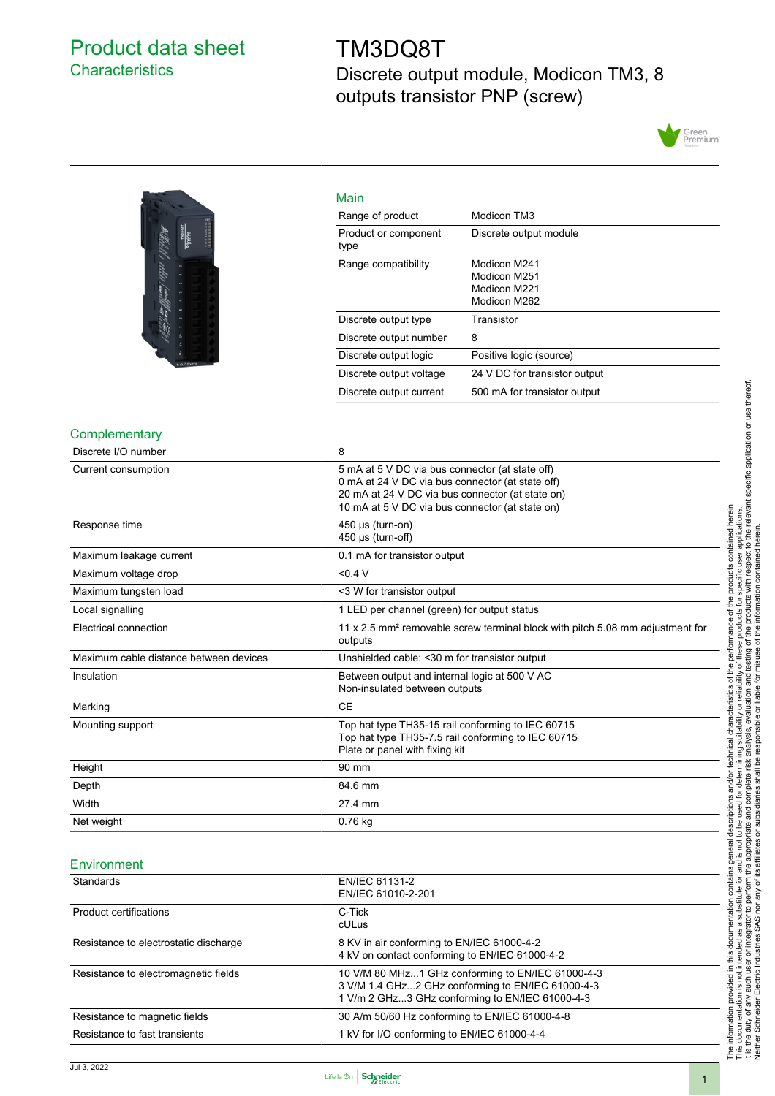# <span id="page-0-0"></span>Product data sheet **Characteristics**

# TM3DQ8T Discrete output module, Modicon TM3, 8 outputs transistor PNP (screw)





| Main                         |                                                              |
|------------------------------|--------------------------------------------------------------|
| Range of product             | Modicon TM3                                                  |
| Product or component<br>type | Discrete output module                                       |
| Range compatibility          | Modicon M241<br>Modicon M251<br>Modicon M221<br>Modicon M262 |
| Discrete output type         | Transistor                                                   |
| Discrete output number       | 8                                                            |
| Discrete output logic        | Positive logic (source)                                      |
| Discrete output voltage      | 24 V DC for transistor output                                |
| Discrete output current      | 500 mA for transistor output                                 |

#### **Complementary**

| Discrete I/O number                    | 8                                                                                                                                                                                                          |
|----------------------------------------|------------------------------------------------------------------------------------------------------------------------------------------------------------------------------------------------------------|
| Current consumption                    | 5 mA at 5 V DC via bus connector (at state off)<br>0 mA at 24 V DC via bus connector (at state off)<br>20 mA at 24 V DC via bus connector (at state on)<br>10 mA at 5 V DC via bus connector (at state on) |
| Response time                          | 450 µs (turn-on)<br>450 µs (turn-off)                                                                                                                                                                      |
| Maximum leakage current                | 0.1 mA for transistor output                                                                                                                                                                               |
| Maximum voltage drop                   | < 0.4 V                                                                                                                                                                                                    |
| Maximum tungsten load                  | <3 W for transistor output                                                                                                                                                                                 |
| Local signalling                       | 1 LED per channel (green) for output status                                                                                                                                                                |
| Electrical connection                  | 11 x 2.5 mm <sup>2</sup> removable screw terminal block with pitch 5.08 mm adjustment for<br>outputs                                                                                                       |
| Maximum cable distance between devices | Unshielded cable: < 30 m for transistor output                                                                                                                                                             |
| Insulation                             | Between output and internal logic at 500 V AC<br>Non-insulated between outputs                                                                                                                             |
| Marking                                | <b>CE</b>                                                                                                                                                                                                  |
| Mounting support                       | Top hat type TH35-15 rail conforming to IEC 60715<br>Top hat type TH35-7.5 rail conforming to IEC 60715<br>Plate or panel with fixing kit                                                                  |
| Height                                 | 90 mm                                                                                                                                                                                                      |
| Depth                                  | 84.6 mm                                                                                                                                                                                                    |
| Width                                  | 27.4 mm                                                                                                                                                                                                    |
| Net weight                             | 0.76 kg                                                                                                                                                                                                    |

#### **Environment**

| Standards                             | EN/IEC 61131-2<br>EN/IEC 61010-2-201                                                                                                                      |  |
|---------------------------------------|-----------------------------------------------------------------------------------------------------------------------------------------------------------|--|
| Product certifications                | C-Tick<br>cULus                                                                                                                                           |  |
| Resistance to electrostatic discharge | 8 KV in air conforming to EN/IEC 61000-4-2<br>4 kV on contact conforming to EN/IEC 61000-4-2                                                              |  |
| Resistance to electromagnetic fields  | 10 V/M 80 MHz1 GHz conforming to EN/IEC 61000-4-3<br>3 V/M 1.4 GHz2 GHz conforming to EN/IEC 61000-4-3<br>1 V/m 2 GHz3 GHz conforming to EN/IEC 61000-4-3 |  |
| Resistance to magnetic fields         | 30 A/m 50/60 Hz conforming to EN/IEC 61000-4-8                                                                                                            |  |
| Resistance to fast transients         | 1 kV for I/O conforming to EN/IEC 61000-4-4                                                                                                               |  |

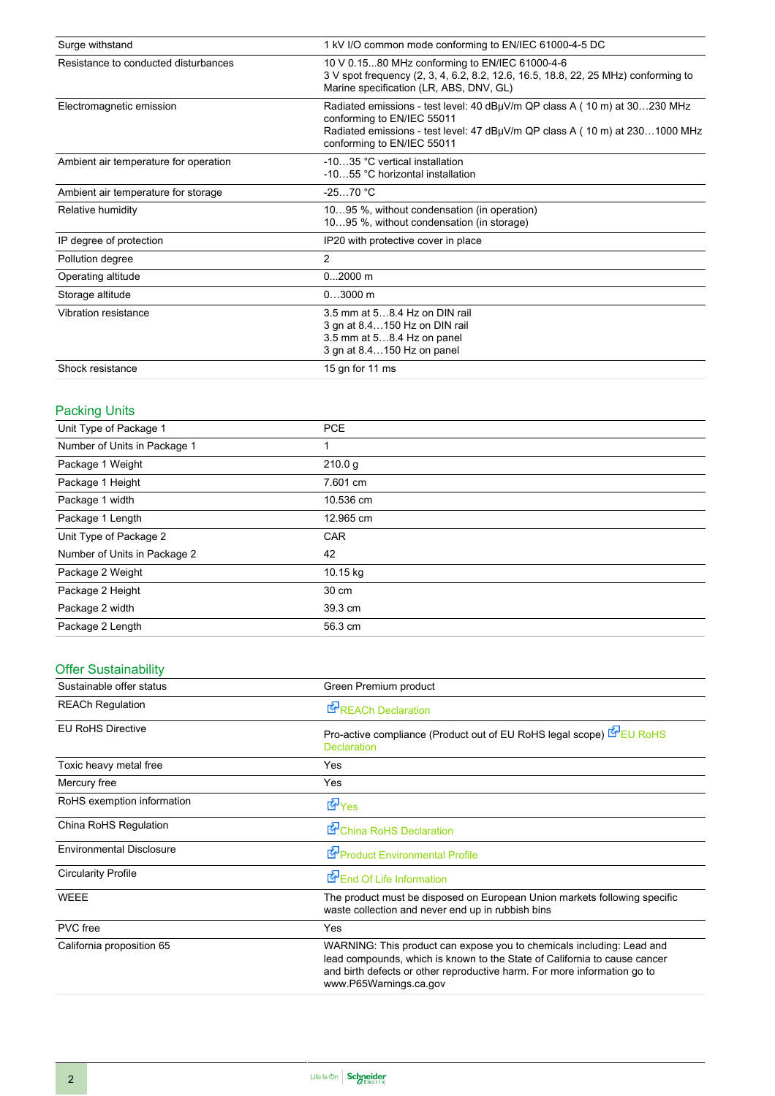| Surge withstand                       | 1 kV I/O common mode conforming to EN/IEC 61000-4-5 DC                                                                                                                                                               |
|---------------------------------------|----------------------------------------------------------------------------------------------------------------------------------------------------------------------------------------------------------------------|
| Resistance to conducted disturbances  | 10 V 0.1580 MHz conforming to EN/IEC 61000-4-6<br>3 V spot frequency (2, 3, 4, 6.2, 8.2, 12.6, 16.5, 18.8, 22, 25 MHz) conforming to<br>Marine specification (LR, ABS, DNV, GL)                                      |
| Electromagnetic emission              | Radiated emissions - test level: 40 dBµV/m QP class A (10 m) at 30230 MHz<br>conforming to EN/IEC 55011<br>Radiated emissions - test level: 47 dBµV/m QP class A (10 m) at 2301000 MHz<br>conforming to EN/IEC 55011 |
| Ambient air temperature for operation | -1035 °C vertical installation<br>-1055 °C horizontal installation                                                                                                                                                   |
| Ambient air temperature for storage   | $-2570 °C$                                                                                                                                                                                                           |
| Relative humidity                     | 1095 %, without condensation (in operation)<br>1095 %, without condensation (in storage)                                                                                                                             |
| IP degree of protection               | IP20 with protective cover in place                                                                                                                                                                                  |
| Pollution degree                      | $\overline{2}$                                                                                                                                                                                                       |
| Operating altitude                    | $02000$ m                                                                                                                                                                                                            |
| Storage altitude                      | $03000$ m                                                                                                                                                                                                            |
| Vibration resistance                  | 3.5 mm at 58.4 Hz on DIN rail<br>3 gn at 8.4150 Hz on DIN rail<br>3.5 mm at 58.4 Hz on panel<br>3 gn at 8.4150 Hz on panel                                                                                           |
| Shock resistance                      | 15 gn for 11 ms                                                                                                                                                                                                      |

# Packing Units

| Unit Type of Package 1       | <b>PCE</b> |
|------------------------------|------------|
| Number of Units in Package 1 |            |
| Package 1 Weight             | 210.0 g    |
| Package 1 Height             | 7.601 cm   |
| Package 1 width              | 10.536 cm  |
| Package 1 Length             | 12.965 cm  |
| Unit Type of Package 2       | <b>CAR</b> |
| Number of Units in Package 2 | 42         |
| Package 2 Weight             | 10.15 kg   |
| Package 2 Height             | 30 cm      |
| Package 2 width              | 39.3 cm    |
| Package 2 Length             | 56.3 cm    |

# Offer Sustainability

| Sustainable offer status        | Green Premium product                                                                                                                                                                                                                                    |
|---------------------------------|----------------------------------------------------------------------------------------------------------------------------------------------------------------------------------------------------------------------------------------------------------|
| <b>REACh Regulation</b>         | <b>E</b> <sup>I</sup> REACh Declaration                                                                                                                                                                                                                  |
| <b>EU RoHS Directive</b>        | Pro-active compliance (Product out of EU RoHS legal scope) EPEU RoHS<br><b>Declaration</b>                                                                                                                                                               |
| Toxic heavy metal free          | Yes                                                                                                                                                                                                                                                      |
| Mercury free                    | Yes                                                                                                                                                                                                                                                      |
| RoHS exemption information      | <b>E</b> Yes                                                                                                                                                                                                                                             |
| China RoHS Regulation           | China RoHS Declaration                                                                                                                                                                                                                                   |
| <b>Environmental Disclosure</b> | Product Environmental Profile                                                                                                                                                                                                                            |
| <b>Circularity Profile</b>      | End Of Life Information                                                                                                                                                                                                                                  |
| <b>WEEE</b>                     | The product must be disposed on European Union markets following specific<br>waste collection and never end up in rubbish bins                                                                                                                           |
| PVC free                        | <b>Yes</b>                                                                                                                                                                                                                                               |
| California proposition 65       | WARNING: This product can expose you to chemicals including: Lead and<br>lead compounds, which is known to the State of California to cause cancer<br>and birth defects or other reproductive harm. For more information go to<br>www.P65Warnings.ca.gov |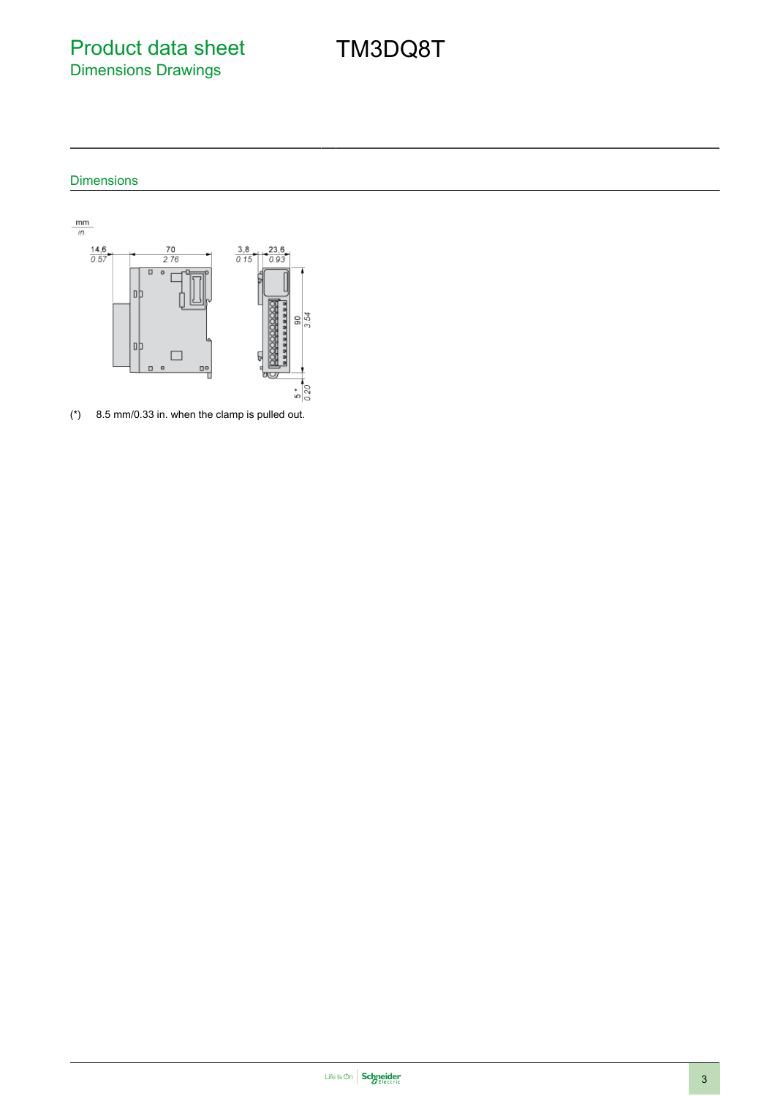Product data sheet Dimensions Drawings

TM3DQ8T

### Dimensions



(\*) 8.5 mm/0.33 in. when the clamp is pulled out.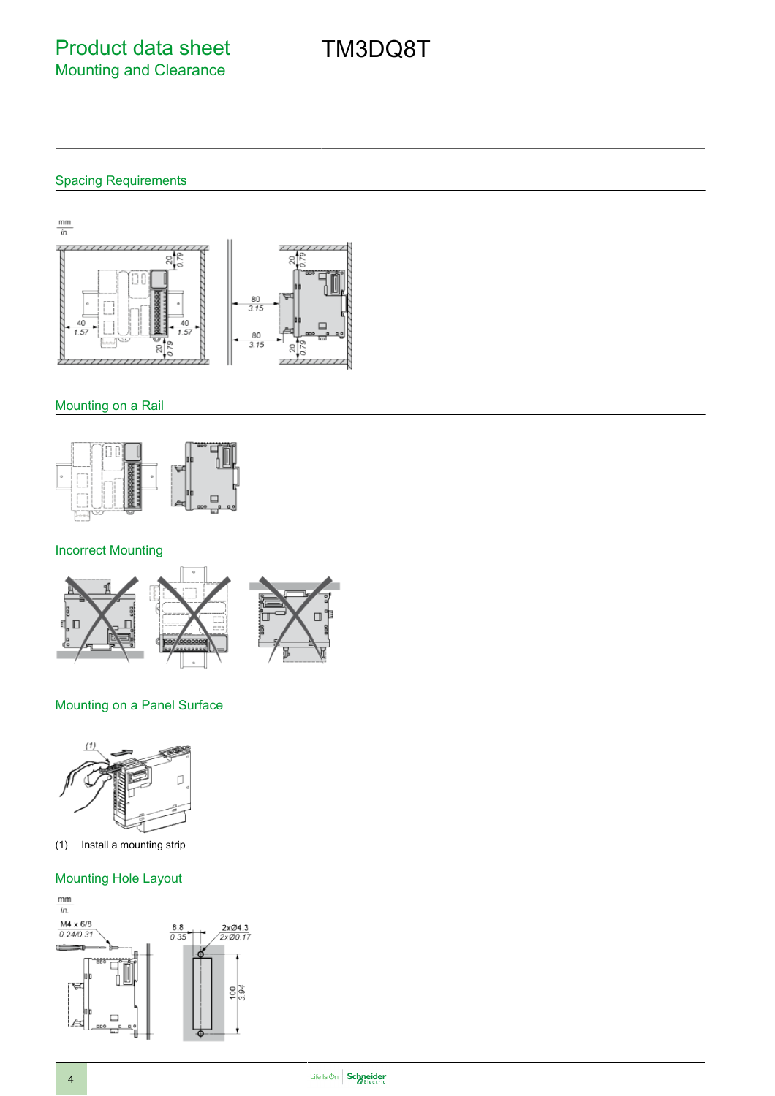#### Spacing Requirements



#### Mounting on a Rail



### Incorrect Mounting



#### Mounting on a Panel Surface



(1) Install a mounting strip

#### Mounting Hole Layout